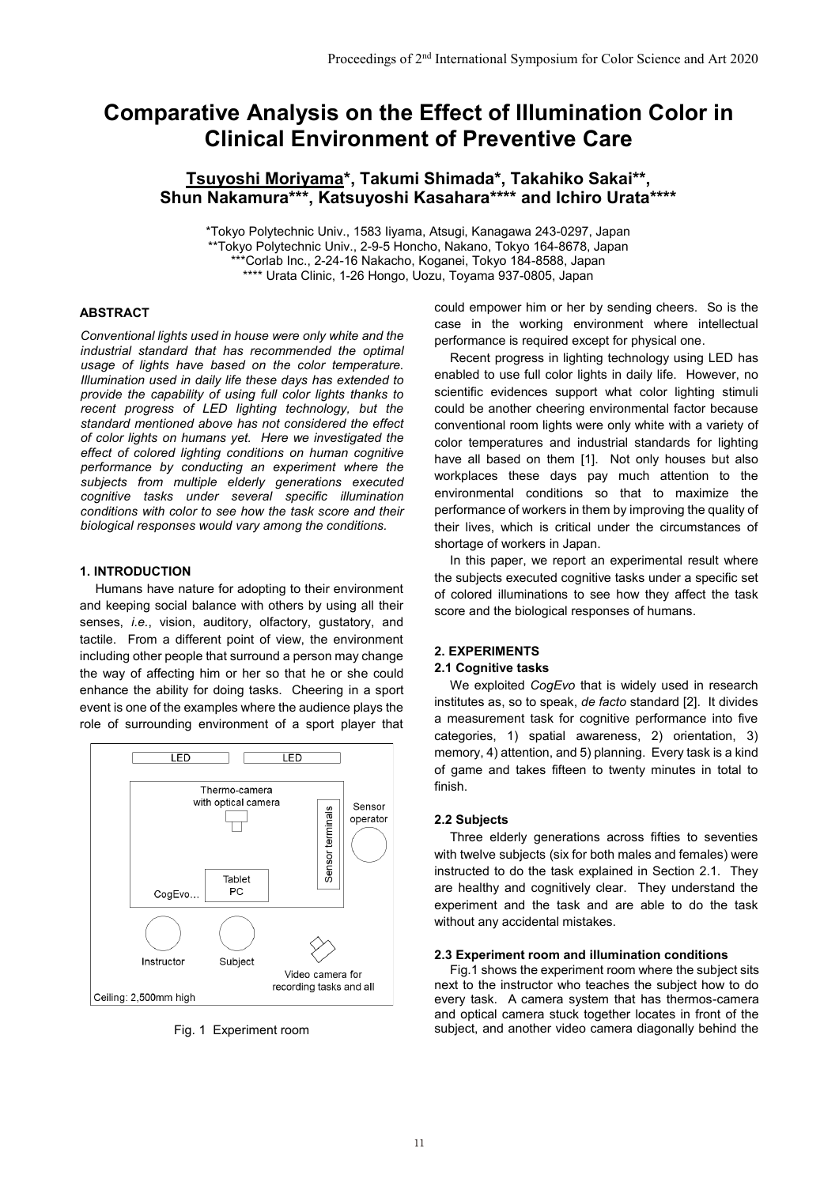# **Comparative Analysis on the Effect of Illumination Color in Clinical Environment of Preventive Care**

## **Tsuyoshi Moriyama\*, Takumi Shimada\*, Takahiko Sakai\*\*, Shun Nakamura\*\*\*, Katsuyoshi Kasahara\*\*\*\* and Ichiro Urata\*\*\*\***

\*Tokyo Polytechnic Univ., 1583 Iiyama, Atsugi, Kanagawa 243-0297, Japan \*\*Tokyo Polytechnic Univ., 2-9-5 Honcho, Nakano, Tokyo 164-8678, Japan \*\*\*Corlab Inc., 2-24-16 Nakacho, Koganei, Tokyo 184-8588, Japan \*\*\*\* Urata Clinic, 1-26 Hongo, Uozu, Toyama 937-0805, Japan

#### **ABSTRACT**

*Conventional lights used in house were only white and the industrial standard that has recommended the optimal usage of lights have based on the color temperature. Illumination used in daily life these days has extended to provide the capability of using full color lights thanks to recent progress of LED lighting technology, but the standard mentioned above has not considered the effect of color lights on humans yet. Here we investigated the effect of colored lighting conditions on human cognitive performance by conducting an experiment where the subjects from multiple elderly generations executed cognitive tasks under several specific illumination conditions with color to see how the task score and their biological responses would vary among the conditions.*

## **1. INTRODUCTION**

Humans have nature for adopting to their environment and keeping social balance with others by using all their senses, *i.e.*, vision, auditory, olfactory, gustatory, and tactile. From a different point of view, the environment including other people that surround a person may change the way of affecting him or her so that he or she could enhance the ability for doing tasks. Cheering in a sport event is one of the examples where the audience plays the role of surrounding environment of a sport player that



could empower him or her by sending cheers. So is the case in the working environment where intellectual performance is required except for physical one.

Recent progress in lighting technology using LED has enabled to use full color lights in daily life. However, no scientific evidences support what color lighting stimuli could be another cheering environmental factor because conventional room lights were only white with a variety of color temperatures and industrial standards for lighting have all based on them [1]. Not only houses but also workplaces these days pay much attention to the environmental conditions so that to maximize the performance of workers in them by improving the quality of their lives, which is critical under the circumstances of shortage of workers in Japan.

In this paper, we report an experimental result where the subjects executed cognitive tasks under a specific set of colored illuminations to see how they affect the task score and the biological responses of humans.

## **2. EXPERIMENTS**

#### **2.1 Cognitive tasks**

We exploited *CogEvo* that is widely used in research institutes as, so to speak, *de facto* standard [2]. It divides a measurement task for cognitive performance into five categories, 1) spatial awareness, 2) orientation, 3) memory, 4) attention, and 5) planning. Every task is a kind of game and takes fifteen to twenty minutes in total to finish.

#### **2.2 Subjects**

Three elderly generations across fifties to seventies with twelve subjects (six for both males and females) were instructed to do the task explained in Section 2.1. They are healthy and cognitively clear. They understand the experiment and the task and are able to do the task without any accidental mistakes.

## **2.3 Experiment room and illumination conditions**

Fig.1 shows the experiment room where the subject sits next to the instructor who teaches the subject how to do every task. A camera system that has thermos-camera and optical camera stuck together locates in front of the Fig. 1 Experiment room subject, and another video camera diagonally behind the